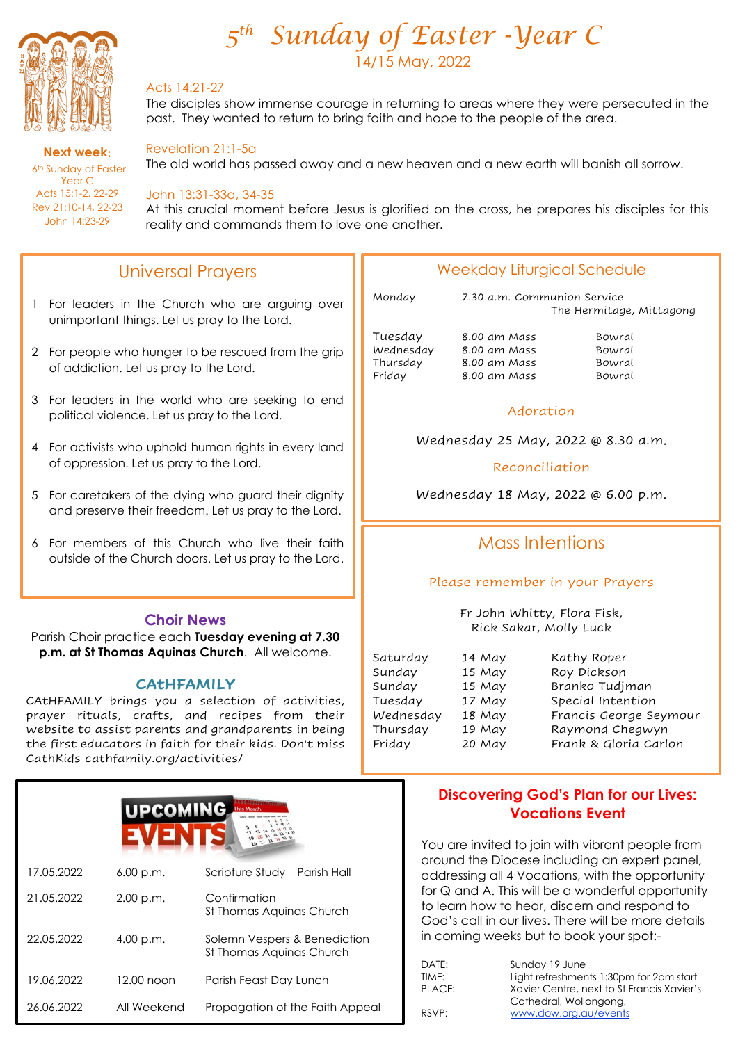

**Next week**: 6<sup>th</sup> Sunday of Easter Year C Acts 15:1-2, 22-29 Rev 21:10-14, 22-23 John 14:23-29

l,

# *5 th Sunday of Easter -Year C* 14/15 May, 2022

### Acts 14:21-27

The disciples show immense courage in returning to areas where they were persecuted in the past. They wanted to return to bring faith and hope to the people of the area.

### Revelation 21:1-5a

The old world has passed away and a new heaven and a new earth will banish all sorrow.

#### John 13:31-33a, 34-35

At this crucial moment before Jesus is glorified on the cross, he prepares his disciples for this reality and commands them to love one another.

# Universal Prayers

- 1 For leaders in the Church who are arguing over unimportant things. Let us pray to the Lord.
- 2 For people who hunger to be rescued from the grip of addiction. Let us pray to the Lord.
- 3 For leaders in the world who are seeking to end political violence. Let us pray to the Lord.
- 4 For activists who uphold human rights in every land of oppression. Let us pray to the Lord.
- 5 For caretakers of the dying who guard their dignity and preserve their freedom. Let us pray to the Lord.
- 6 For members of this Church who live their faith outside of the Church doors. Let us pray to the Lord.

#### **Choir News**

Parish Choir practice each **Tuesday evening at 7.30 p.m. at St Thomas Aquinas Church**. All welcome.

#### **CAtHFAMILY**

CAtHFAMILY brings you a selection of activities, prayer rituals, crafts, and recipes from their website to assist parents and grandparents in being the first educators in faith for their kids. Don't miss CathKids cathfamily.org/activities/



### Weekday Liturgical Schedule

Monday 7.30 a.m. Communion Service The Hermitage, Mittagong

Tuesday 8.00 am Mass Bowral Wednesday 8.00 am Mass Bowral 8.00 am Mass Friday 8.00 am Mass Bowral

#### Adoration

Wednesday 25 May, 2022 @ 8.30 a.m.

Reconciliation

Wednesday 18 May, 2022 @ 6.00 p.m.

# Mass Intentions

#### Please remember in your Prayers

Fr John Whitty, Flora Fisk, Rick Sakar, Molly Luck

| Saturday  | 14 May |
|-----------|--------|
| Sunday    | 15 May |
| Sunday    | 15 May |
| Tuesday   | 17 May |
| Wednesday | 18 May |
| Thursday  | 19 May |
| Friday    | 20 May |

Kathy Roper Roy Dickson Branko Tudjman Special Intention Francis George Seymour Raymond Chegwyn Frank & Gloria Carlon

### **Discovering God's Plan for our Lives: Vocations Event**

You are invited to join with vibrant people from around the Diocese including an expert panel, addressing all 4 Vocations, with the opportunity for Q and A. This will be a wonderful opportunity to learn how to hear, discern and respond to God's call in our lives. There will be more details in coming weeks but to book your spot:-

| DATE:  | Sunday 19 June                             |
|--------|--------------------------------------------|
| TIME:  | Light refreshments 1:30pm for 2pm start    |
| PLACE: | Xavier Centre, next to St Francis Xavier's |
|        | Cathedral, Wollongong,                     |
| RSVP:  | www.dow.org.au/events                      |
|        |                                            |